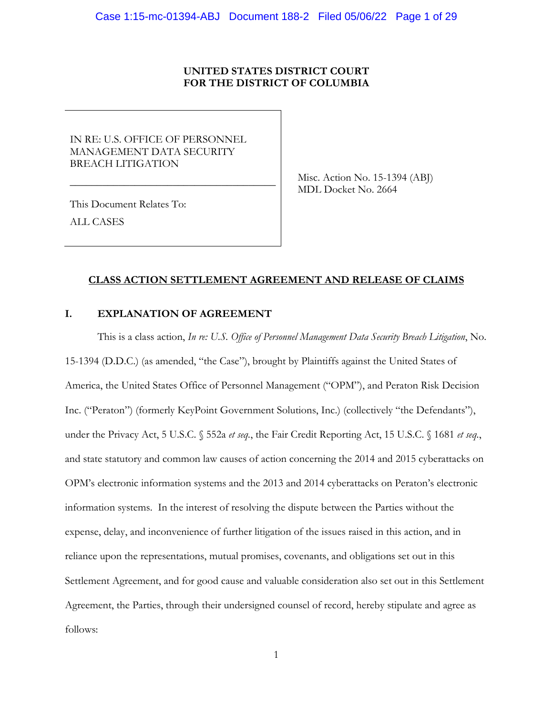## **UNITED STATES DISTRICT COURT FOR THE DISTRICT OF COLUMBIA**

IN RE: U.S. OFFICE OF PERSONNEL MANAGEMENT DATA SECURITY BREACH LITIGATION

\_\_\_\_\_\_\_\_\_\_\_\_\_\_\_\_\_\_\_\_\_\_\_\_\_\_\_\_\_\_\_\_\_\_\_\_\_\_

Misc. Action No. 15-1394 (ABJ) MDL Docket No. 2664

This Document Relates To: ALL CASES

## **CLASS ACTION SETTLEMENT AGREEMENT AND RELEASE OF CLAIMS**

# **I. EXPLANATION OF AGREEMENT**

This is a class action, *In re: U.S. Office of Personnel Management Data Security Breach Litigation*, No. 15-1394 (D.D.C.) (as amended, "the Case"), brought by Plaintiffs against the United States of America, the United States Office of Personnel Management ("OPM"), and Peraton Risk Decision Inc. ("Peraton") (formerly KeyPoint Government Solutions, Inc.) (collectively "the Defendants"), under the Privacy Act, 5 U.S.C. § 552a *et seq.*, the Fair Credit Reporting Act, 15 U.S.C. § 1681 *et seq.*, and state statutory and common law causes of action concerning the 2014 and 2015 cyberattacks on OPM's electronic information systems and the 2013 and 2014 cyberattacks on Peraton's electronic information systems. In the interest of resolving the dispute between the Parties without the expense, delay, and inconvenience of further litigation of the issues raised in this action, and in reliance upon the representations, mutual promises, covenants, and obligations set out in this Settlement Agreement, and for good cause and valuable consideration also set out in this Settlement Agreement, the Parties, through their undersigned counsel of record, hereby stipulate and agree as follows: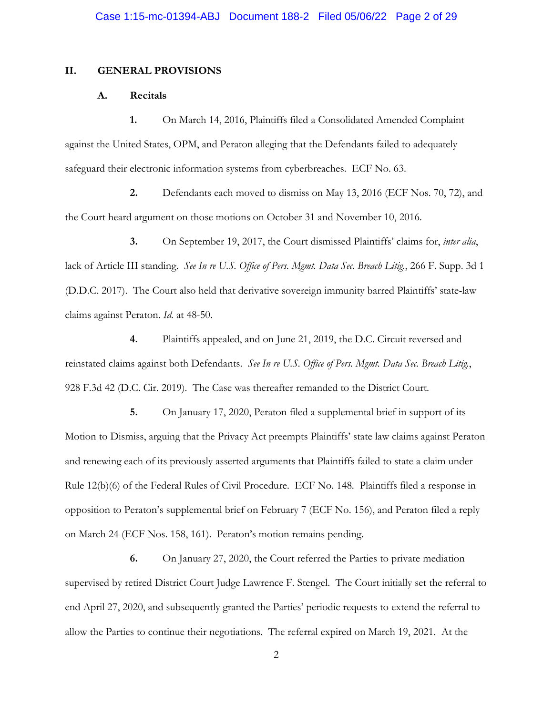#### **II. GENERAL PROVISIONS**

## **A. Recitals**

**1.** On March 14, 2016, Plaintiffs filed a Consolidated Amended Complaint against the United States, OPM, and Peraton alleging that the Defendants failed to adequately safeguard their electronic information systems from cyberbreaches. ECF No. 63.

**2.** Defendants each moved to dismiss on May 13, 2016 (ECF Nos. 70, 72), and the Court heard argument on those motions on October 31 and November 10, 2016.

**3.** On September 19, 2017, the Court dismissed Plaintiffs' claims for, *inter alia*, lack of Article III standing. *See In re U.S. Office of Pers. Mgmt. Data Sec. Breach Litig.*, 266 F. Supp. 3d 1 (D.D.C. 2017). The Court also held that derivative sovereign immunity barred Plaintiffs' state-law claims against Peraton. *Id.* at 48-50.

**4.** Plaintiffs appealed, and on June 21, 2019, the D.C. Circuit reversed and reinstated claims against both Defendants. *See In re U.S. Office of Pers. Mgmt. Data Sec. Breach Litig.*, 928 F.3d 42 (D.C. Cir. 2019). The Case was thereafter remanded to the District Court.

**5.** On January 17, 2020, Peraton filed a supplemental brief in support of its Motion to Dismiss, arguing that the Privacy Act preempts Plaintiffs' state law claims against Peraton and renewing each of its previously asserted arguments that Plaintiffs failed to state a claim under Rule 12(b)(6) of the Federal Rules of Civil Procedure. ECF No. 148. Plaintiffs filed a response in opposition to Peraton's supplemental brief on February 7 (ECF No. 156), and Peraton filed a reply on March 24 (ECF Nos. 158, 161). Peraton's motion remains pending.

**6.** On January 27, 2020, the Court referred the Parties to private mediation supervised by retired District Court Judge Lawrence F. Stengel. The Court initially set the referral to end April 27, 2020, and subsequently granted the Parties' periodic requests to extend the referral to allow the Parties to continue their negotiations. The referral expired on March 19, 2021. At the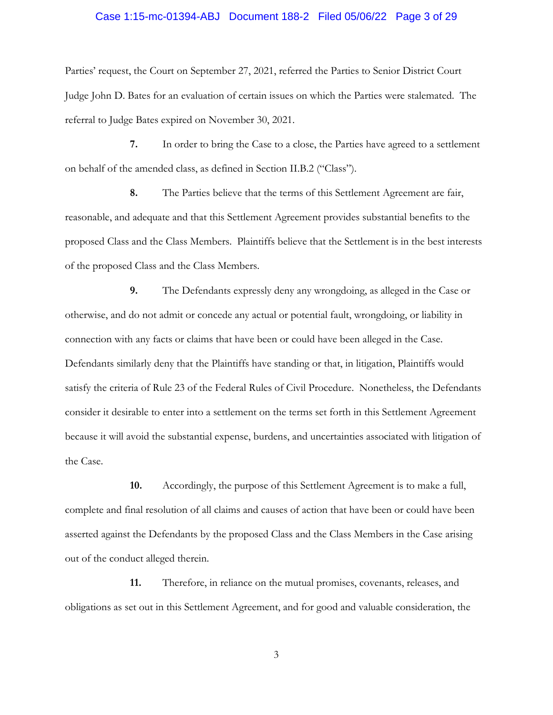#### Case 1:15-mc-01394-ABJ Document 188-2 Filed 05/06/22 Page 3 of 29

Parties' request, the Court on September 27, 2021, referred the Parties to Senior District Court Judge John D. Bates for an evaluation of certain issues on which the Parties were stalemated. The referral to Judge Bates expired on November 30, 2021.

**7.** In order to bring the Case to a close, the Parties have agreed to a settlement on behalf of the amended class, as defined in Section II.B.2 ("Class").

**8.** The Parties believe that the terms of this Settlement Agreement are fair, reasonable, and adequate and that this Settlement Agreement provides substantial benefits to the proposed Class and the Class Members. Plaintiffs believe that the Settlement is in the best interests of the proposed Class and the Class Members.

**9.** The Defendants expressly deny any wrongdoing, as alleged in the Case or otherwise, and do not admit or concede any actual or potential fault, wrongdoing, or liability in connection with any facts or claims that have been or could have been alleged in the Case. Defendants similarly deny that the Plaintiffs have standing or that, in litigation, Plaintiffs would satisfy the criteria of Rule 23 of the Federal Rules of Civil Procedure. Nonetheless, the Defendants consider it desirable to enter into a settlement on the terms set forth in this Settlement Agreement because it will avoid the substantial expense, burdens, and uncertainties associated with litigation of the Case.

**10.** Accordingly, the purpose of this Settlement Agreement is to make a full, complete and final resolution of all claims and causes of action that have been or could have been asserted against the Defendants by the proposed Class and the Class Members in the Case arising out of the conduct alleged therein.

**11.** Therefore, in reliance on the mutual promises, covenants, releases, and obligations as set out in this Settlement Agreement, and for good and valuable consideration, the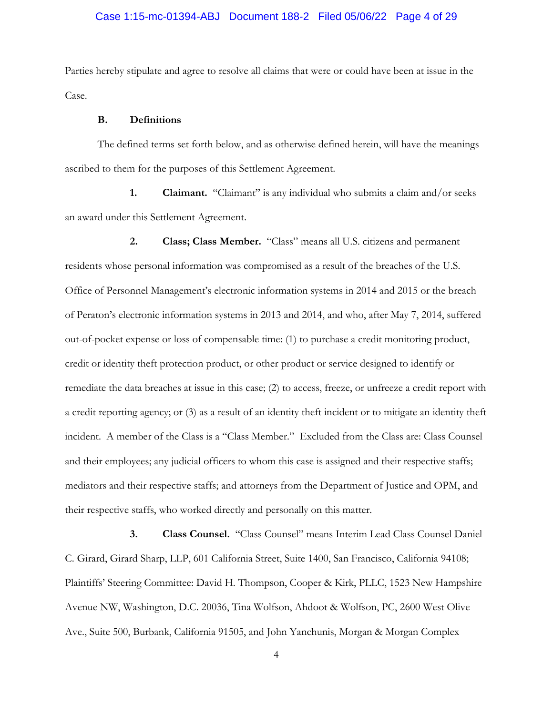#### Case 1:15-mc-01394-ABJ Document 188-2 Filed 05/06/22 Page 4 of 29

Parties hereby stipulate and agree to resolve all claims that were or could have been at issue in the Case.

#### **B. Definitions**

The defined terms set forth below, and as otherwise defined herein, will have the meanings ascribed to them for the purposes of this Settlement Agreement.

**1. Claimant.** "Claimant" is any individual who submits a claim and/or seeks an award under this Settlement Agreement.

**2. Class; Class Member.** "Class" means all U.S. citizens and permanent residents whose personal information was compromised as a result of the breaches of the U.S. Office of Personnel Management's electronic information systems in 2014 and 2015 or the breach of Peraton's electronic information systems in 2013 and 2014, and who, after May 7, 2014, suffered out-of-pocket expense or loss of compensable time: (1) to purchase a credit monitoring product, credit or identity theft protection product, or other product or service designed to identify or remediate the data breaches at issue in this case; (2) to access, freeze, or unfreeze a credit report with a credit reporting agency; or (3) as a result of an identity theft incident or to mitigate an identity theft incident. A member of the Class is a "Class Member." Excluded from the Class are: Class Counsel and their employees; any judicial officers to whom this case is assigned and their respective staffs; mediators and their respective staffs; and attorneys from the Department of Justice and OPM, and their respective staffs, who worked directly and personally on this matter.

**3. Class Counsel.** "Class Counsel" means Interim Lead Class Counsel Daniel C. Girard, Girard Sharp, LLP, 601 California Street, Suite 1400, San Francisco, California 94108; Plaintiffs' Steering Committee: David H. Thompson, Cooper & Kirk, PLLC, 1523 New Hampshire Avenue NW, Washington, D.C. 20036, Tina Wolfson, Ahdoot & Wolfson, PC, 2600 West Olive Ave., Suite 500, Burbank, California 91505, and John Yanchunis, Morgan & Morgan Complex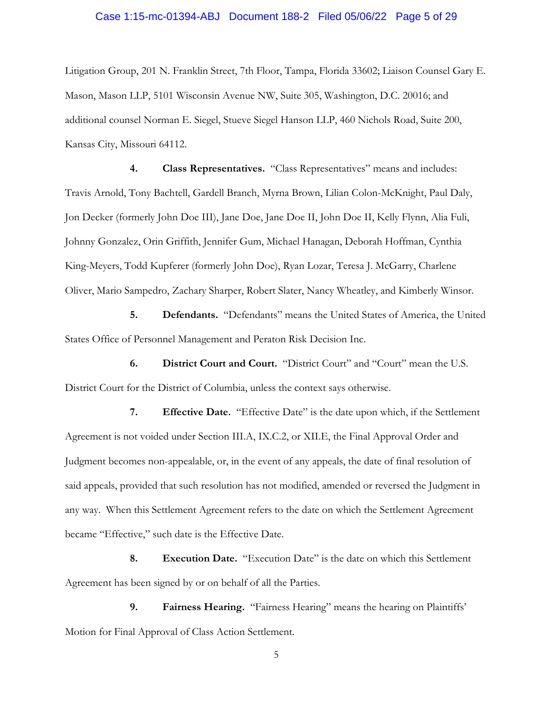#### Case 1:15-mc-01394-ABJ Document 188-2 Filed 05/06/22 Page 5 of 29

Litigation Group, 201 N. Franklin Street, 7th Floor, Tampa, Florida 33602; Liaison Counsel Gary E. Mason, Mason LLP, 5101 Wisconsin Avenue NW, Suite 305, Washington, D.C. 20016; and additional counsel Norman E. Siegel, Stueve Siegel Hanson LLP, 460 Nichols Road, Suite 200, Kansas City, Missouri 64112.

**4. Class Representatives.** "Class Representatives" means and includes: Travis Arnold, Tony Bachtell, Gardell Branch, Myrna Brown, Lilian Colon-McKnight, Paul Daly, Jon Decker (formerly John Doe III), Jane Doe, Jane Doe II, John Doe II, Kelly Flynn, Alia Fuli, Johnny Gonzalez, Orin Griffith, Jennifer Gum, Michael Hanagan, Deborah Hoffman, Cynthia King-Meyers, Todd Kupferer (formerly John Doe), Ryan Lozar, Teresa J. McGarry, Charlene Oliver, Mario Sampedro, Zachary Sharper, Robert Slater, Nancy Wheatley, and Kimberly Winsor.

**5. Defendants.** "Defendants" means the United States of America, the United States Office of Personnel Management and Peraton Risk Decision Inc.

**6. District Court and Court.** "District Court" and "Court" mean the U.S. District Court for the District of Columbia, unless the context says otherwise.

**7. Effective Date.** "Effective Date" is the date upon which, if the Settlement Agreement is not voided under Section III.A, IX.C.2, or XII.E, the Final Approval Order and Judgment becomes non-appealable, or, in the event of any appeals, the date of final resolution of said appeals, provided that such resolution has not modified, amended or reversed the Judgment in any way. When this Settlement Agreement refers to the date on which the Settlement Agreement became "Effective," such date is the Effective Date.

**8. Execution Date.** "Execution Date" is the date on which this Settlement Agreement has been signed by or on behalf of all the Parties.

**9. Fairness Hearing.** "Fairness Hearing" means the hearing on Plaintiffs' Motion for Final Approval of Class Action Settlement.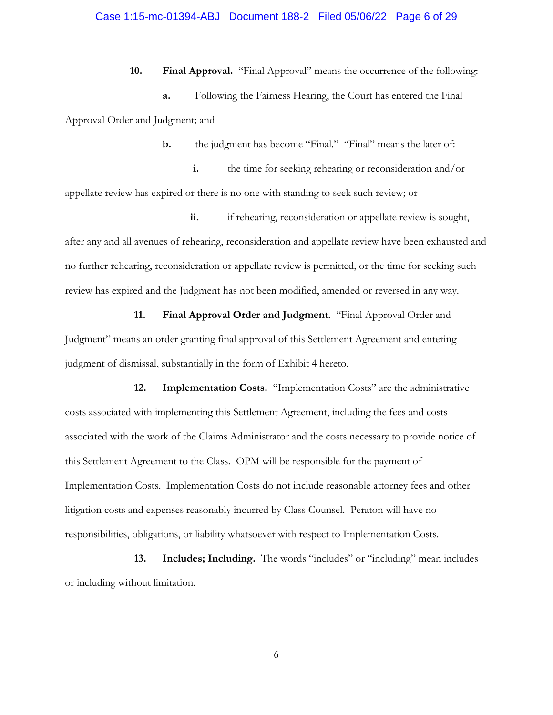## Case 1:15-mc-01394-ABJ Document 188-2 Filed 05/06/22 Page 6 of 29

**10. Final Approval.** "Final Approval" means the occurrence of the following: **a.** Following the Fairness Hearing, the Court has entered the Final Approval Order and Judgment; and

**b.** the judgment has become "Final." "Final" means the later of:

**i.** the time for seeking rehearing or reconsideration and/or appellate review has expired or there is no one with standing to seek such review; or

ii. if rehearing, reconsideration or appellate review is sought, after any and all avenues of rehearing, reconsideration and appellate review have been exhausted and no further rehearing, reconsideration or appellate review is permitted, or the time for seeking such review has expired and the Judgment has not been modified, amended or reversed in any way.

**11. Final Approval Order and Judgment.** "Final Approval Order and Judgment" means an order granting final approval of this Settlement Agreement and entering judgment of dismissal, substantially in the form of Exhibit 4 hereto.

**12. Implementation Costs.** "Implementation Costs" are the administrative costs associated with implementing this Settlement Agreement, including the fees and costs associated with the work of the Claims Administrator and the costs necessary to provide notice of this Settlement Agreement to the Class. OPM will be responsible for the payment of Implementation Costs. Implementation Costs do not include reasonable attorney fees and other litigation costs and expenses reasonably incurred by Class Counsel. Peraton will have no responsibilities, obligations, or liability whatsoever with respect to Implementation Costs.

**13. Includes; Including.** The words "includes" or "including" mean includes or including without limitation.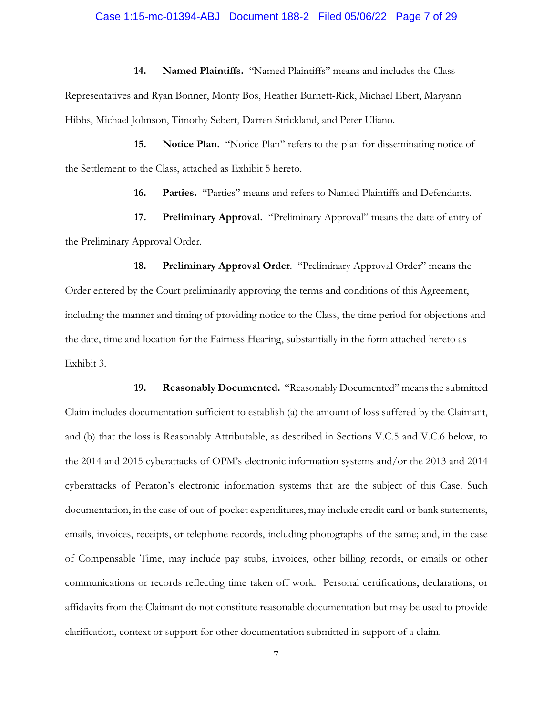#### Case 1:15-mc-01394-ABJ Document 188-2 Filed 05/06/22 Page 7 of 29

**14. Named Plaintiffs.** "Named Plaintiffs" means and includes the Class Representatives and Ryan Bonner, Monty Bos, Heather Burnett-Rick, Michael Ebert, Maryann Hibbs, Michael Johnson, Timothy Sebert, Darren Strickland, and Peter Uliano.

**15. Notice Plan.** "Notice Plan" refers to the plan for disseminating notice of the Settlement to the Class, attached as Exhibit 5 hereto.

**16. Parties.** "Parties" means and refers to Named Plaintiffs and Defendants.

**17. Preliminary Approval.** "Preliminary Approval" means the date of entry of the Preliminary Approval Order.

**18. Preliminary Approval Order**. "Preliminary Approval Order" means the Order entered by the Court preliminarily approving the terms and conditions of this Agreement, including the manner and timing of providing notice to the Class, the time period for objections and the date, time and location for the Fairness Hearing, substantially in the form attached hereto as Exhibit 3.

**19. Reasonably Documented.** "Reasonably Documented" means the submitted Claim includes documentation sufficient to establish (a) the amount of loss suffered by the Claimant, and (b) that the loss is Reasonably Attributable, as described in Sections V.C.5 and V.C.6 below, to the 2014 and 2015 cyberattacks of OPM's electronic information systems and/or the 2013 and 2014 cyberattacks of Peraton's electronic information systems that are the subject of this Case. Such documentation, in the case of out-of-pocket expenditures, may include credit card or bank statements, emails, invoices, receipts, or telephone records, including photographs of the same; and, in the case of Compensable Time, may include pay stubs, invoices, other billing records, or emails or other communications or records reflecting time taken off work. Personal certifications, declarations, or affidavits from the Claimant do not constitute reasonable documentation but may be used to provide clarification, context or support for other documentation submitted in support of a claim.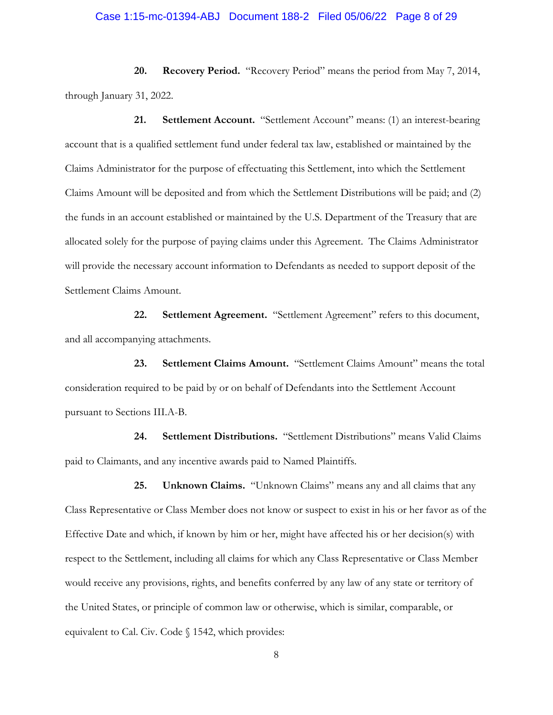#### Case 1:15-mc-01394-ABJ Document 188-2 Filed 05/06/22 Page 8 of 29

**20. Recovery Period.** "Recovery Period" means the period from May 7, 2014, through January 31, 2022.

**21. Settlement Account.** "Settlement Account" means: (1) an interest-bearing account that is a qualified settlement fund under federal tax law, established or maintained by the Claims Administrator for the purpose of effectuating this Settlement, into which the Settlement Claims Amount will be deposited and from which the Settlement Distributions will be paid; and (2) the funds in an account established or maintained by the U.S. Department of the Treasury that are allocated solely for the purpose of paying claims under this Agreement. The Claims Administrator will provide the necessary account information to Defendants as needed to support deposit of the Settlement Claims Amount.

**22. Settlement Agreement.** "Settlement Agreement" refers to this document, and all accompanying attachments.

**23. Settlement Claims Amount.** "Settlement Claims Amount" means the total consideration required to be paid by or on behalf of Defendants into the Settlement Account pursuant to Sections III.A-B.

**24. Settlement Distributions.** "Settlement Distributions" means Valid Claims paid to Claimants, and any incentive awards paid to Named Plaintiffs.

**25. Unknown Claims.** "Unknown Claims" means any and all claims that any Class Representative or Class Member does not know or suspect to exist in his or her favor as of the Effective Date and which, if known by him or her, might have affected his or her decision(s) with respect to the Settlement, including all claims for which any Class Representative or Class Member would receive any provisions, rights, and benefits conferred by any law of any state or territory of the United States, or principle of common law or otherwise, which is similar, comparable, or equivalent to Cal. Civ. Code § 1542, which provides: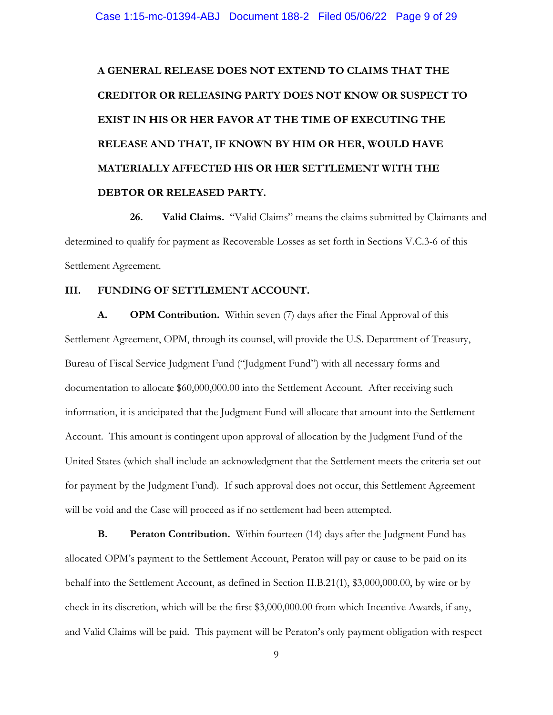# **A GENERAL RELEASE DOES NOT EXTEND TO CLAIMS THAT THE CREDITOR OR RELEASING PARTY DOES NOT KNOW OR SUSPECT TO EXIST IN HIS OR HER FAVOR AT THE TIME OF EXECUTING THE RELEASE AND THAT, IF KNOWN BY HIM OR HER, WOULD HAVE MATERIALLY AFFECTED HIS OR HER SETTLEMENT WITH THE DEBTOR OR RELEASED PARTY.**

**26. Valid Claims.** "Valid Claims" means the claims submitted by Claimants and determined to qualify for payment as Recoverable Losses as set forth in Sections V.C.3-6 of this Settlement Agreement.

# **III. FUNDING OF SETTLEMENT ACCOUNT.**

**A. OPM Contribution.** Within seven (7) days after the Final Approval of this Settlement Agreement, OPM, through its counsel, will provide the U.S. Department of Treasury, Bureau of Fiscal Service Judgment Fund ("Judgment Fund") with all necessary forms and documentation to allocate \$60,000,000.00 into the Settlement Account. After receiving such information, it is anticipated that the Judgment Fund will allocate that amount into the Settlement Account. This amount is contingent upon approval of allocation by the Judgment Fund of the United States (which shall include an acknowledgment that the Settlement meets the criteria set out for payment by the Judgment Fund). If such approval does not occur, this Settlement Agreement will be void and the Case will proceed as if no settlement had been attempted.

**B. Peraton Contribution.** Within fourteen (14) days after the Judgment Fund has allocated OPM's payment to the Settlement Account, Peraton will pay or cause to be paid on its behalf into the Settlement Account, as defined in Section II.B.21(1), \$3,000,000.00, by wire or by check in its discretion, which will be the first \$3,000,000.00 from which Incentive Awards, if any, and Valid Claims will be paid. This payment will be Peraton's only payment obligation with respect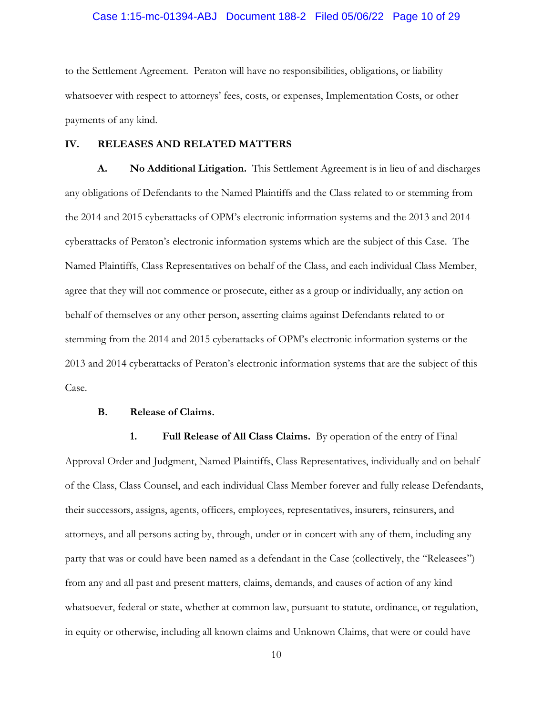## Case 1:15-mc-01394-ABJ Document 188-2 Filed 05/06/22 Page 10 of 29

to the Settlement Agreement. Peraton will have no responsibilities, obligations, or liability whatsoever with respect to attorneys' fees, costs, or expenses, Implementation Costs, or other payments of any kind.

## **IV. RELEASES AND RELATED MATTERS**

**A. No Additional Litigation.** This Settlement Agreement is in lieu of and discharges any obligations of Defendants to the Named Plaintiffs and the Class related to or stemming from the 2014 and 2015 cyberattacks of OPM's electronic information systems and the 2013 and 2014 cyberattacks of Peraton's electronic information systems which are the subject of this Case. The Named Plaintiffs, Class Representatives on behalf of the Class, and each individual Class Member, agree that they will not commence or prosecute, either as a group or individually, any action on behalf of themselves or any other person, asserting claims against Defendants related to or stemming from the 2014 and 2015 cyberattacks of OPM's electronic information systems or the 2013 and 2014 cyberattacks of Peraton's electronic information systems that are the subject of this Case.

#### **B. Release of Claims.**

**1. Full Release of All Class Claims.** By operation of the entry of Final Approval Order and Judgment, Named Plaintiffs, Class Representatives, individually and on behalf of the Class, Class Counsel, and each individual Class Member forever and fully release Defendants, their successors, assigns, agents, officers, employees, representatives, insurers, reinsurers, and attorneys, and all persons acting by, through, under or in concert with any of them, including any party that was or could have been named as a defendant in the Case (collectively, the "Releasees") from any and all past and present matters, claims, demands, and causes of action of any kind whatsoever, federal or state, whether at common law, pursuant to statute, ordinance, or regulation, in equity or otherwise, including all known claims and Unknown Claims, that were or could have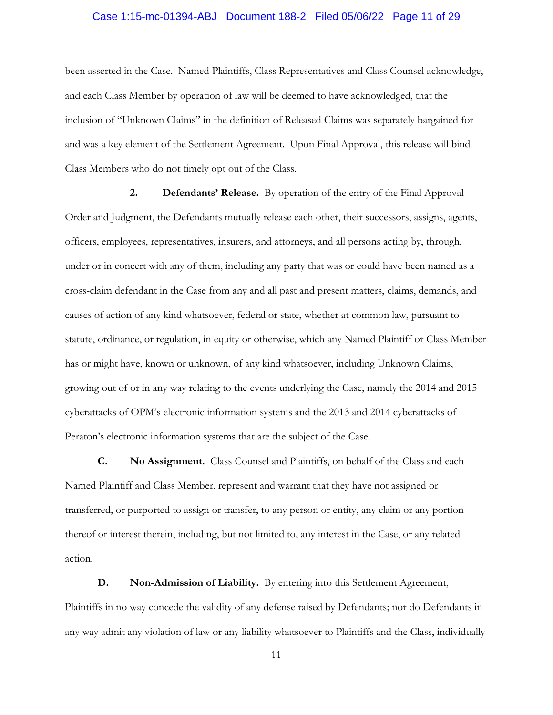## Case 1:15-mc-01394-ABJ Document 188-2 Filed 05/06/22 Page 11 of 29

been asserted in the Case. Named Plaintiffs, Class Representatives and Class Counsel acknowledge, and each Class Member by operation of law will be deemed to have acknowledged, that the inclusion of "Unknown Claims" in the definition of Released Claims was separately bargained for and was a key element of the Settlement Agreement. Upon Final Approval, this release will bind Class Members who do not timely opt out of the Class.

**2. Defendants' Release.** By operation of the entry of the Final Approval Order and Judgment, the Defendants mutually release each other, their successors, assigns, agents, officers, employees, representatives, insurers, and attorneys, and all persons acting by, through, under or in concert with any of them, including any party that was or could have been named as a cross-claim defendant in the Case from any and all past and present matters, claims, demands, and causes of action of any kind whatsoever, federal or state, whether at common law, pursuant to statute, ordinance, or regulation, in equity or otherwise, which any Named Plaintiff or Class Member has or might have, known or unknown, of any kind whatsoever, including Unknown Claims, growing out of or in any way relating to the events underlying the Case, namely the 2014 and 2015 cyberattacks of OPM's electronic information systems and the 2013 and 2014 cyberattacks of Peraton's electronic information systems that are the subject of the Case.

**C. No Assignment.** Class Counsel and Plaintiffs, on behalf of the Class and each Named Plaintiff and Class Member, represent and warrant that they have not assigned or transferred, or purported to assign or transfer, to any person or entity, any claim or any portion thereof or interest therein, including, but not limited to, any interest in the Case, or any related action.

**D. Non-Admission of Liability.** By entering into this Settlement Agreement, Plaintiffs in no way concede the validity of any defense raised by Defendants; nor do Defendants in any way admit any violation of law or any liability whatsoever to Plaintiffs and the Class, individually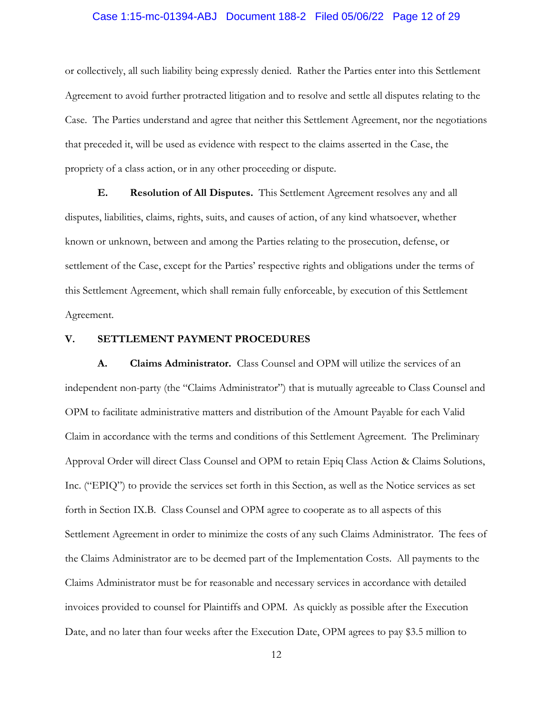## Case 1:15-mc-01394-ABJ Document 188-2 Filed 05/06/22 Page 12 of 29

or collectively, all such liability being expressly denied. Rather the Parties enter into this Settlement Agreement to avoid further protracted litigation and to resolve and settle all disputes relating to the Case. The Parties understand and agree that neither this Settlement Agreement, nor the negotiations that preceded it, will be used as evidence with respect to the claims asserted in the Case, the propriety of a class action, or in any other proceeding or dispute.

**E. Resolution of All Disputes.** This Settlement Agreement resolves any and all disputes, liabilities, claims, rights, suits, and causes of action, of any kind whatsoever, whether known or unknown, between and among the Parties relating to the prosecution, defense, or settlement of the Case, except for the Parties' respective rights and obligations under the terms of this Settlement Agreement, which shall remain fully enforceable, by execution of this Settlement Agreement.

#### **V. SETTLEMENT PAYMENT PROCEDURES**

**A. Claims Administrator.** Class Counsel and OPM will utilize the services of an independent non-party (the "Claims Administrator") that is mutually agreeable to Class Counsel and OPM to facilitate administrative matters and distribution of the Amount Payable for each Valid Claim in accordance with the terms and conditions of this Settlement Agreement. The Preliminary Approval Order will direct Class Counsel and OPM to retain Epiq Class Action & Claims Solutions, Inc. ("EPIQ") to provide the services set forth in this Section, as well as the Notice services as set forth in Section IX.B. Class Counsel and OPM agree to cooperate as to all aspects of this Settlement Agreement in order to minimize the costs of any such Claims Administrator. The fees of the Claims Administrator are to be deemed part of the Implementation Costs. All payments to the Claims Administrator must be for reasonable and necessary services in accordance with detailed invoices provided to counsel for Plaintiffs and OPM. As quickly as possible after the Execution Date, and no later than four weeks after the Execution Date, OPM agrees to pay \$3.5 million to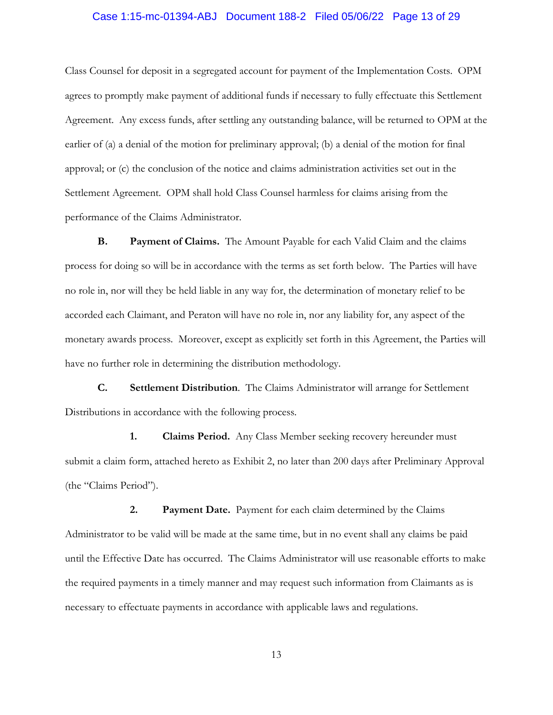# Case 1:15-mc-01394-ABJ Document 188-2 Filed 05/06/22 Page 13 of 29

Class Counsel for deposit in a segregated account for payment of the Implementation Costs. OPM agrees to promptly make payment of additional funds if necessary to fully effectuate this Settlement Agreement. Any excess funds, after settling any outstanding balance, will be returned to OPM at the earlier of (a) a denial of the motion for preliminary approval; (b) a denial of the motion for final approval; or (c) the conclusion of the notice and claims administration activities set out in the Settlement Agreement. OPM shall hold Class Counsel harmless for claims arising from the performance of the Claims Administrator.

**B. Payment of Claims.** The Amount Payable for each Valid Claim and the claims process for doing so will be in accordance with the terms as set forth below. The Parties will have no role in, nor will they be held liable in any way for, the determination of monetary relief to be accorded each Claimant, and Peraton will have no role in, nor any liability for, any aspect of the monetary awards process. Moreover, except as explicitly set forth in this Agreement, the Parties will have no further role in determining the distribution methodology.

**C. Settlement Distribution**. The Claims Administrator will arrange for Settlement Distributions in accordance with the following process.

**1. Claims Period.** Any Class Member seeking recovery hereunder must submit a claim form, attached hereto as Exhibit 2, no later than 200 days after Preliminary Approval (the "Claims Period").

**2. Payment Date.** Payment for each claim determined by the Claims Administrator to be valid will be made at the same time, but in no event shall any claims be paid until the Effective Date has occurred. The Claims Administrator will use reasonable efforts to make the required payments in a timely manner and may request such information from Claimants as is necessary to effectuate payments in accordance with applicable laws and regulations.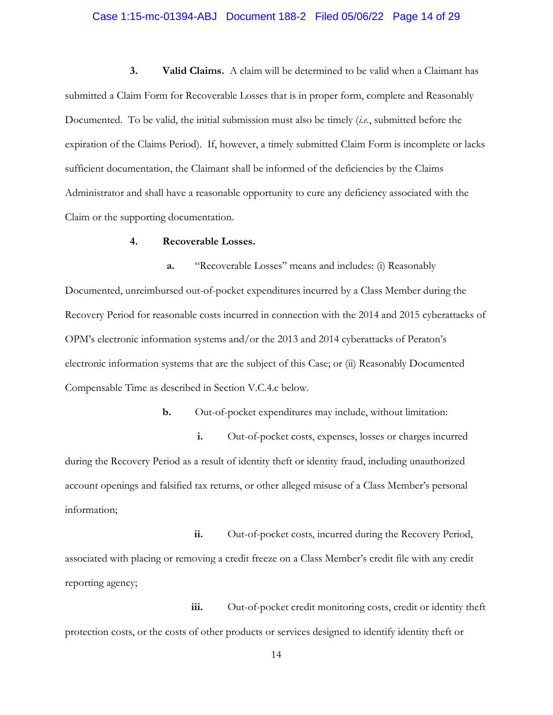#### Case 1:15-mc-01394-ABJ Document 188-2 Filed 05/06/22 Page 14 of 29

**3. Valid Claims.** A claim will be determined to be valid when a Claimant has submitted a Claim Form for Recoverable Losses that is in proper form, complete and Reasonably Documented. To be valid, the initial submission must also be timely (*i.e.*, submitted before the expiration of the Claims Period). If, however, a timely submitted Claim Form is incomplete or lacks sufficient documentation, the Claimant shall be informed of the deficiencies by the Claims Administrator and shall have a reasonable opportunity to cure any deficiency associated with the Claim or the supporting documentation.

#### **4. Recoverable Losses.**

**a.** "Recoverable Losses" means and includes: (i) Reasonably Documented, unreimbursed out-of-pocket expenditures incurred by a Class Member during the Recovery Period for reasonable costs incurred in connection with the 2014 and 2015 cyberattacks of OPM's electronic information systems and/or the 2013 and 2014 cyberattacks of Peraton's electronic information systems that are the subject of this Case; or (ii) Reasonably Documented Compensable Time as described in Section V.C.4.c below.

**b.** Out-of-pocket expenditures may include, without limitation:

**i.** Out-of-pocket costs, expenses, losses or charges incurred during the Recovery Period as a result of identity theft or identity fraud, including unauthorized account openings and falsified tax returns, or other alleged misuse of a Class Member's personal information;

**ii.** Out-of-pocket costs, incurred during the Recovery Period, associated with placing or removing a credit freeze on a Class Member's credit file with any credit reporting agency;

**iii.** Out-of-pocket credit monitoring costs, credit or identity theft protection costs, or the costs of other products or services designed to identify identity theft or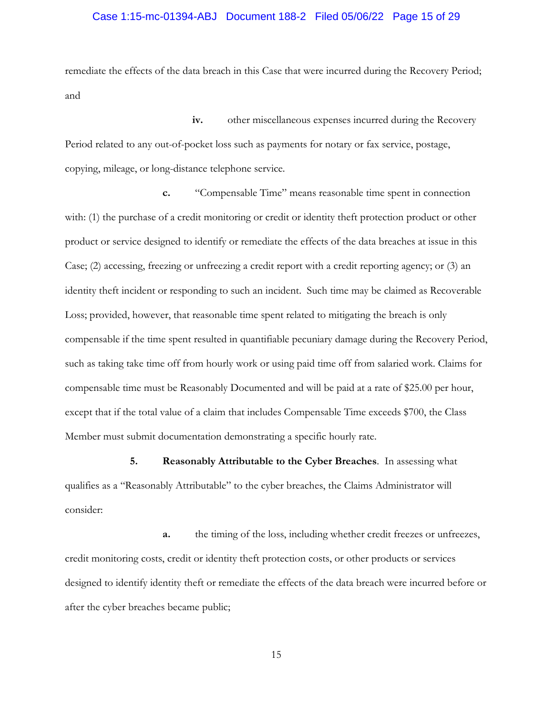#### Case 1:15-mc-01394-ABJ Document 188-2 Filed 05/06/22 Page 15 of 29

remediate the effects of the data breach in this Case that were incurred during the Recovery Period; and

**iv.** other miscellaneous expenses incurred during the Recovery Period related to any out-of-pocket loss such as payments for notary or fax service, postage, copying, mileage, or long-distance telephone service.

**c.** "Compensable Time" means reasonable time spent in connection with: (1) the purchase of a credit monitoring or credit or identity theft protection product or other product or service designed to identify or remediate the effects of the data breaches at issue in this Case; (2) accessing, freezing or unfreezing a credit report with a credit reporting agency; or (3) an identity theft incident or responding to such an incident. Such time may be claimed as Recoverable Loss; provided, however, that reasonable time spent related to mitigating the breach is only compensable if the time spent resulted in quantifiable pecuniary damage during the Recovery Period, such as taking take time off from hourly work or using paid time off from salaried work. Claims for compensable time must be Reasonably Documented and will be paid at a rate of \$25.00 per hour, except that if the total value of a claim that includes Compensable Time exceeds \$700, the Class Member must submit documentation demonstrating a specific hourly rate.

**5. Reasonably Attributable to the Cyber Breaches**. In assessing what qualifies as a "Reasonably Attributable" to the cyber breaches, the Claims Administrator will consider:

**a.** the timing of the loss, including whether credit freezes or unfreezes, credit monitoring costs, credit or identity theft protection costs, or other products or services designed to identify identity theft or remediate the effects of the data breach were incurred before or after the cyber breaches became public;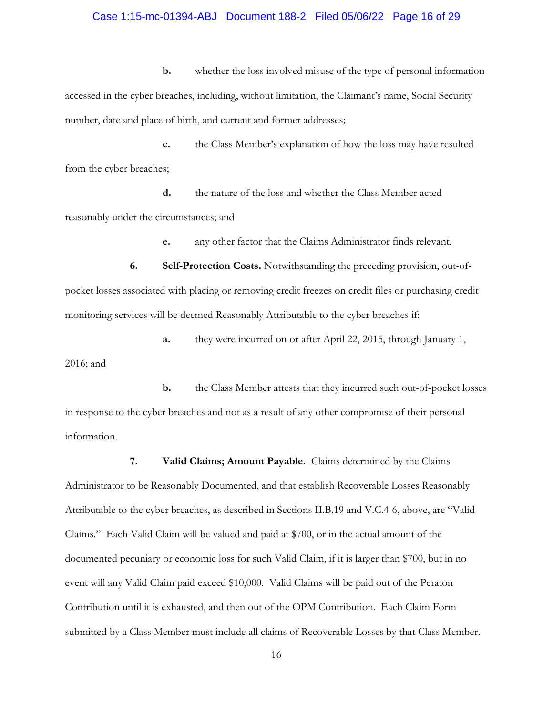#### Case 1:15-mc-01394-ABJ Document 188-2 Filed 05/06/22 Page 16 of 29

**b.** whether the loss involved misuse of the type of personal information accessed in the cyber breaches, including, without limitation, the Claimant's name, Social Security number, date and place of birth, and current and former addresses;

**c.** the Class Member's explanation of how the loss may have resulted from the cyber breaches;

**d.** the nature of the loss and whether the Class Member acted reasonably under the circumstances; and

**e.** any other factor that the Claims Administrator finds relevant.

**6. Self-Protection Costs.** Notwithstanding the preceding provision, out-ofpocket losses associated with placing or removing credit freezes on credit files or purchasing credit monitoring services will be deemed Reasonably Attributable to the cyber breaches if:

**a.** they were incurred on or after April 22, 2015, through January 1,

2016; and

**b.** the Class Member attests that they incurred such out-of-pocket losses in response to the cyber breaches and not as a result of any other compromise of their personal information.

**7. Valid Claims; Amount Payable.** Claims determined by the Claims Administrator to be Reasonably Documented, and that establish Recoverable Losses Reasonably Attributable to the cyber breaches, as described in Sections II.B.19 and V.C.4-6, above, are "Valid Claims." Each Valid Claim will be valued and paid at \$700, or in the actual amount of the documented pecuniary or economic loss for such Valid Claim, if it is larger than \$700, but in no event will any Valid Claim paid exceed \$10,000. Valid Claims will be paid out of the Peraton Contribution until it is exhausted, and then out of the OPM Contribution. Each Claim Form submitted by a Class Member must include all claims of Recoverable Losses by that Class Member.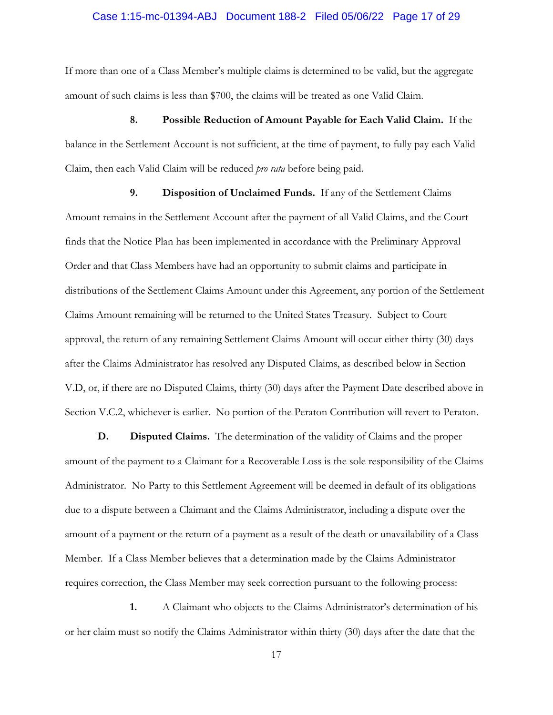## Case 1:15-mc-01394-ABJ Document 188-2 Filed 05/06/22 Page 17 of 29

If more than one of a Class Member's multiple claims is determined to be valid, but the aggregate amount of such claims is less than \$700, the claims will be treated as one Valid Claim.

**8. Possible Reduction of Amount Payable for Each Valid Claim.** If the balance in the Settlement Account is not sufficient, at the time of payment, to fully pay each Valid Claim, then each Valid Claim will be reduced *pro rata* before being paid.

**9. Disposition of Unclaimed Funds.** If any of the Settlement Claims Amount remains in the Settlement Account after the payment of all Valid Claims, and the Court finds that the Notice Plan has been implemented in accordance with the Preliminary Approval Order and that Class Members have had an opportunity to submit claims and participate in distributions of the Settlement Claims Amount under this Agreement, any portion of the Settlement Claims Amount remaining will be returned to the United States Treasury. Subject to Court approval, the return of any remaining Settlement Claims Amount will occur either thirty (30) days after the Claims Administrator has resolved any Disputed Claims, as described below in Section V.D, or, if there are no Disputed Claims, thirty (30) days after the Payment Date described above in Section V.C.2, whichever is earlier. No portion of the Peraton Contribution will revert to Peraton.

**D. Disputed Claims.** The determination of the validity of Claims and the proper amount of the payment to a Claimant for a Recoverable Loss is the sole responsibility of the Claims Administrator. No Party to this Settlement Agreement will be deemed in default of its obligations due to a dispute between a Claimant and the Claims Administrator, including a dispute over the amount of a payment or the return of a payment as a result of the death or unavailability of a Class Member.If a Class Member believes that a determination made by the Claims Administrator requires correction, the Class Member may seek correction pursuant to the following process:

**1.** A Claimant who objects to the Claims Administrator's determination of his or her claim must so notify the Claims Administrator within thirty (30) days after the date that the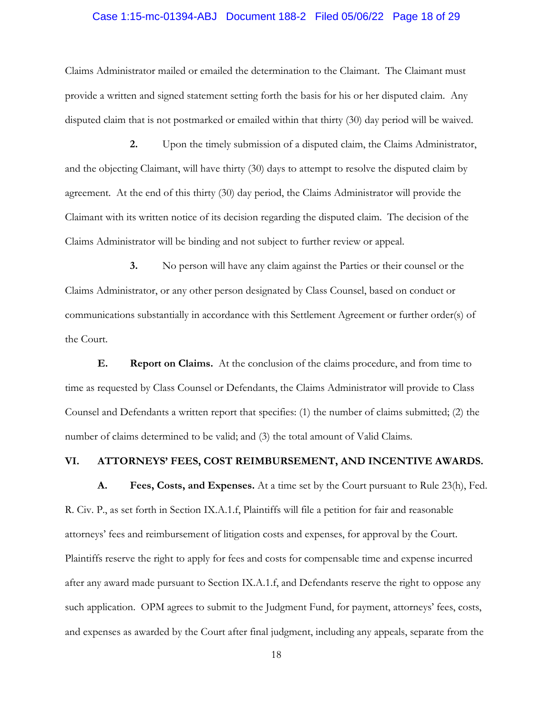## Case 1:15-mc-01394-ABJ Document 188-2 Filed 05/06/22 Page 18 of 29

Claims Administrator mailed or emailed the determination to the Claimant. The Claimant must provide a written and signed statement setting forth the basis for his or her disputed claim. Any disputed claim that is not postmarked or emailed within that thirty (30) day period will be waived.

**2.** Upon the timely submission of a disputed claim, the Claims Administrator, and the objecting Claimant, will have thirty (30) days to attempt to resolve the disputed claim by agreement. At the end of this thirty (30) day period, the Claims Administrator will provide the Claimant with its written notice of its decision regarding the disputed claim. The decision of the Claims Administrator will be binding and not subject to further review or appeal.

**3.** No person will have any claim against the Parties or their counsel or the Claims Administrator, or any other person designated by Class Counsel, based on conduct or communications substantially in accordance with this Settlement Agreement or further order(s) of the Court.

**E. Report on Claims.** At the conclusion of the claims procedure, and from time to time as requested by Class Counsel or Defendants, the Claims Administrator will provide to Class Counsel and Defendants a written report that specifies: (1) the number of claims submitted; (2) the number of claims determined to be valid; and (3) the total amount of Valid Claims.

## **VI. ATTORNEYS' FEES, COST REIMBURSEMENT, AND INCENTIVE AWARDS.**

**A. Fees, Costs, and Expenses.** At a time set by the Court pursuant to Rule 23(h), Fed. R. Civ. P., as set forth in Section IX.A.1.f, Plaintiffs will file a petition for fair and reasonable attorneys' fees and reimbursement of litigation costs and expenses, for approval by the Court. Plaintiffs reserve the right to apply for fees and costs for compensable time and expense incurred after any award made pursuant to Section IX.A.1.f, and Defendants reserve the right to oppose any such application. OPM agrees to submit to the Judgment Fund, for payment, attorneys' fees, costs, and expenses as awarded by the Court after final judgment, including any appeals, separate from the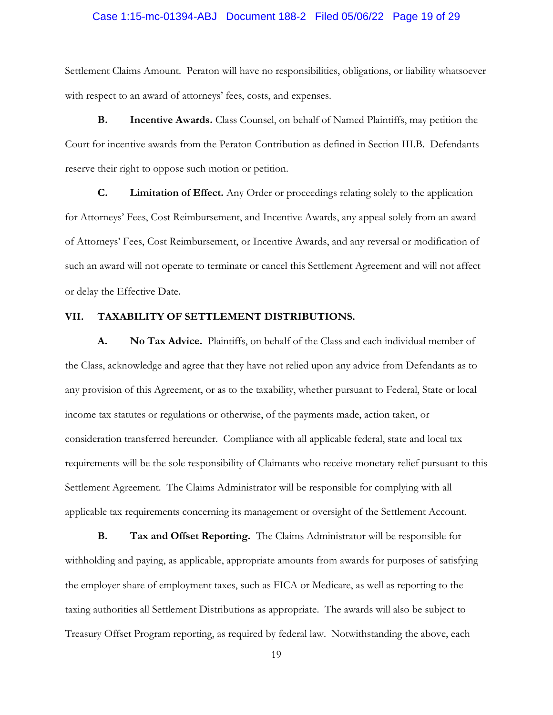## Case 1:15-mc-01394-ABJ Document 188-2 Filed 05/06/22 Page 19 of 29

Settlement Claims Amount. Peraton will have no responsibilities, obligations, or liability whatsoever with respect to an award of attorneys' fees, costs, and expenses.

**B. Incentive Awards.** Class Counsel, on behalf of Named Plaintiffs, may petition the Court for incentive awards from the Peraton Contribution as defined in Section III.B. Defendants reserve their right to oppose such motion or petition.

**C. Limitation of Effect.** Any Order or proceedings relating solely to the application for Attorneys' Fees, Cost Reimbursement, and Incentive Awards, any appeal solely from an award of Attorneys' Fees, Cost Reimbursement, or Incentive Awards, and any reversal or modification of such an award will not operate to terminate or cancel this Settlement Agreement and will not affect or delay the Effective Date.

#### **VII. TAXABILITY OF SETTLEMENT DISTRIBUTIONS.**

**A. No Tax Advice.** Plaintiffs, on behalf of the Class and each individual member of the Class, acknowledge and agree that they have not relied upon any advice from Defendants as to any provision of this Agreement, or as to the taxability, whether pursuant to Federal, State or local income tax statutes or regulations or otherwise, of the payments made, action taken, or consideration transferred hereunder. Compliance with all applicable federal, state and local tax requirements will be the sole responsibility of Claimants who receive monetary relief pursuant to this Settlement Agreement. The Claims Administrator will be responsible for complying with all applicable tax requirements concerning its management or oversight of the Settlement Account.

**B. Tax and Offset Reporting.** The Claims Administrator will be responsible for withholding and paying, as applicable, appropriate amounts from awards for purposes of satisfying the employer share of employment taxes, such as FICA or Medicare, as well as reporting to the taxing authorities all Settlement Distributions as appropriate. The awards will also be subject to Treasury Offset Program reporting, as required by federal law. Notwithstanding the above, each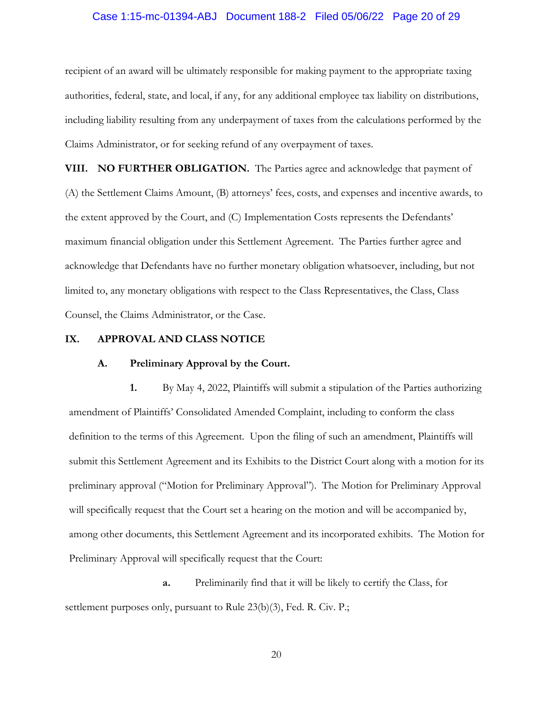#### Case 1:15-mc-01394-ABJ Document 188-2 Filed 05/06/22 Page 20 of 29

recipient of an award will be ultimately responsible for making payment to the appropriate taxing authorities, federal, state, and local, if any, for any additional employee tax liability on distributions, including liability resulting from any underpayment of taxes from the calculations performed by the Claims Administrator, or for seeking refund of any overpayment of taxes.

**VIII. NO FURTHER OBLIGATION.** The Parties agree and acknowledge that payment of (A) the Settlement Claims Amount, (B) attorneys' fees, costs, and expenses and incentive awards, to the extent approved by the Court, and (C) Implementation Costs represents the Defendants' maximum financial obligation under this Settlement Agreement. The Parties further agree and acknowledge that Defendants have no further monetary obligation whatsoever, including, but not limited to, any monetary obligations with respect to the Class Representatives, the Class, Class Counsel, the Claims Administrator, or the Case.

#### **IX. APPROVAL AND CLASS NOTICE**

#### **A. Preliminary Approval by the Court.**

**1.** By May 4, 2022, Plaintiffs will submit a stipulation of the Parties authorizing amendment of Plaintiffs' Consolidated Amended Complaint, including to conform the class definition to the terms of this Agreement. Upon the filing of such an amendment, Plaintiffs will submit this Settlement Agreement and its Exhibits to the District Court along with a motion for its preliminary approval ("Motion for Preliminary Approval"). The Motion for Preliminary Approval will specifically request that the Court set a hearing on the motion and will be accompanied by, among other documents, this Settlement Agreement and its incorporated exhibits. The Motion for Preliminary Approval will specifically request that the Court:

**a.** Preliminarily find that it will be likely to certify the Class, for settlement purposes only, pursuant to Rule 23(b)(3), Fed. R. Civ. P.;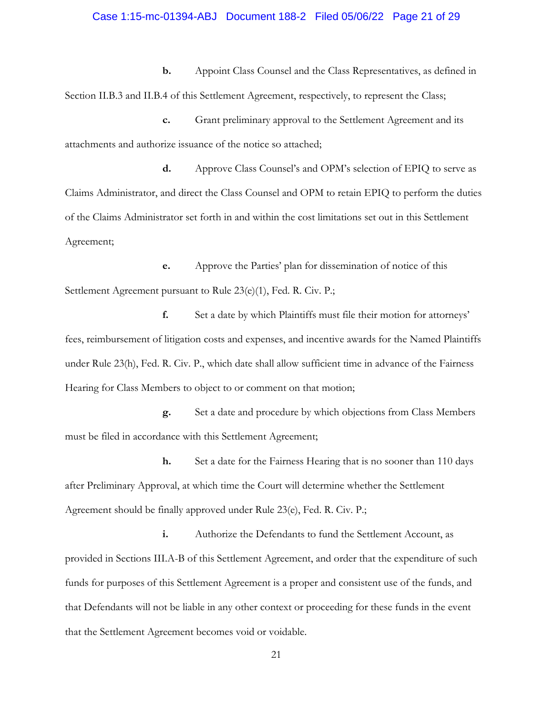#### Case 1:15-mc-01394-ABJ Document 188-2 Filed 05/06/22 Page 21 of 29

**b.** Appoint Class Counsel and the Class Representatives, as defined in Section II.B.3 and II.B.4 of this Settlement Agreement, respectively, to represent the Class;

**c.** Grant preliminary approval to the Settlement Agreement and its attachments and authorize issuance of the notice so attached;

**d.** Approve Class Counsel's and OPM's selection of EPIQ to serve as Claims Administrator, and direct the Class Counsel and OPM to retain EPIQ to perform the duties of the Claims Administrator set forth in and within the cost limitations set out in this Settlement Agreement;

**e.** Approve the Parties' plan for dissemination of notice of this Settlement Agreement pursuant to Rule 23(e)(1), Fed. R. Civ. P.;

**f.** Set a date by which Plaintiffs must file their motion for attorneys' fees, reimbursement of litigation costs and expenses, and incentive awards for the Named Plaintiffs under Rule 23(h), Fed. R. Civ. P., which date shall allow sufficient time in advance of the Fairness Hearing for Class Members to object to or comment on that motion;

**g.** Set a date and procedure by which objections from Class Members must be filed in accordance with this Settlement Agreement;

**h.** Set a date for the Fairness Hearing that is no sooner than 110 days after Preliminary Approval, at which time the Court will determine whether the Settlement Agreement should be finally approved under Rule 23(e), Fed. R. Civ. P.;

**i.** Authorize the Defendants to fund the Settlement Account, as provided in Sections III.A-B of this Settlement Agreement, and order that the expenditure of such funds for purposes of this Settlement Agreement is a proper and consistent use of the funds, and that Defendants will not be liable in any other context or proceeding for these funds in the event that the Settlement Agreement becomes void or voidable.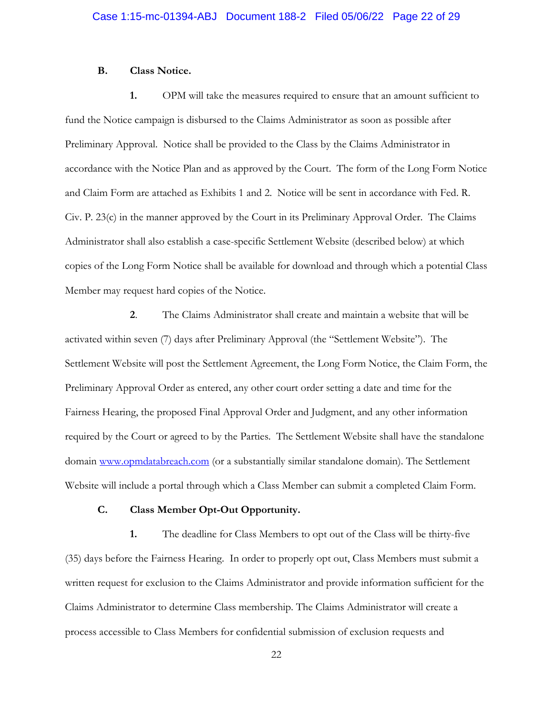## **B. Class Notice.**

**1.** OPM will take the measures required to ensure that an amount sufficient to fund the Notice campaign is disbursed to the Claims Administrator as soon as possible after Preliminary Approval. Notice shall be provided to the Class by the Claims Administrator in accordance with the Notice Plan and as approved by the Court. The form of the Long Form Notice and Claim Form are attached as Exhibits 1 and 2. Notice will be sent in accordance with Fed. R. Civ. P. 23(c) in the manner approved by the Court in its Preliminary Approval Order. The Claims Administrator shall also establish a case-specific Settlement Website (described below) at which copies of the Long Form Notice shall be available for download and through which a potential Class Member may request hard copies of the Notice.

**2**. The Claims Administrator shall create and maintain a website that will be activated within seven (7) days after Preliminary Approval (the "Settlement Website"). The Settlement Website will post the Settlement Agreement, the Long Form Notice, the Claim Form, the Preliminary Approval Order as entered, any other court order setting a date and time for the Fairness Hearing, the proposed Final Approval Order and Judgment, and any other information required by the Court or agreed to by the Parties. The Settlement Website shall have the standalone domain [www.opmdatabreach.com](http://www.opmdatabreach.com/) (or a substantially similar standalone domain). The Settlement Website will include a portal through which a Class Member can submit a completed Claim Form.

## **C. Class Member Opt-Out Opportunity.**

**1.** The deadline for Class Members to opt out of the Class will be thirty-five (35) days before the Fairness Hearing. In order to properly opt out, Class Members must submit a written request for exclusion to the Claims Administrator and provide information sufficient for the Claims Administrator to determine Class membership. The Claims Administrator will create a process accessible to Class Members for confidential submission of exclusion requests and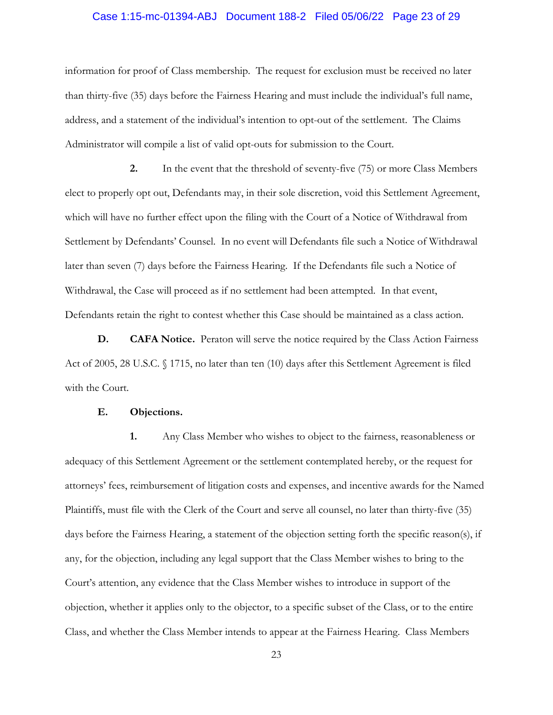## Case 1:15-mc-01394-ABJ Document 188-2 Filed 05/06/22 Page 23 of 29

information for proof of Class membership. The request for exclusion must be received no later than thirty-five (35) days before the Fairness Hearing and must include the individual's full name, address, and a statement of the individual's intention to opt-out of the settlement. The Claims Administrator will compile a list of valid opt-outs for submission to the Court.

**2.** In the event that the threshold of seventy-five (75) or more Class Members elect to properly opt out, Defendants may, in their sole discretion, void this Settlement Agreement, which will have no further effect upon the filing with the Court of a Notice of Withdrawal from Settlement by Defendants' Counsel. In no event will Defendants file such a Notice of Withdrawal later than seven (7) days before the Fairness Hearing. If the Defendants file such a Notice of Withdrawal, the Case will proceed as if no settlement had been attempted. In that event, Defendants retain the right to contest whether this Case should be maintained as a class action.

**D. CAFA Notice.** Peraton will serve the notice required by the Class Action Fairness Act of 2005, 28 U.S.C. § 1715, no later than ten (10) days after this Settlement Agreement is filed with the Court.

#### **E. Objections.**

**1.** Any Class Member who wishes to object to the fairness, reasonableness or adequacy of this Settlement Agreement or the settlement contemplated hereby, or the request for attorneys' fees, reimbursement of litigation costs and expenses, and incentive awards for the Named Plaintiffs, must file with the Clerk of the Court and serve all counsel, no later than thirty-five (35) days before the Fairness Hearing, a statement of the objection setting forth the specific reason(s), if any, for the objection, including any legal support that the Class Member wishes to bring to the Court's attention, any evidence that the Class Member wishes to introduce in support of the objection, whether it applies only to the objector, to a specific subset of the Class, or to the entire Class, and whether the Class Member intends to appear at the Fairness Hearing. Class Members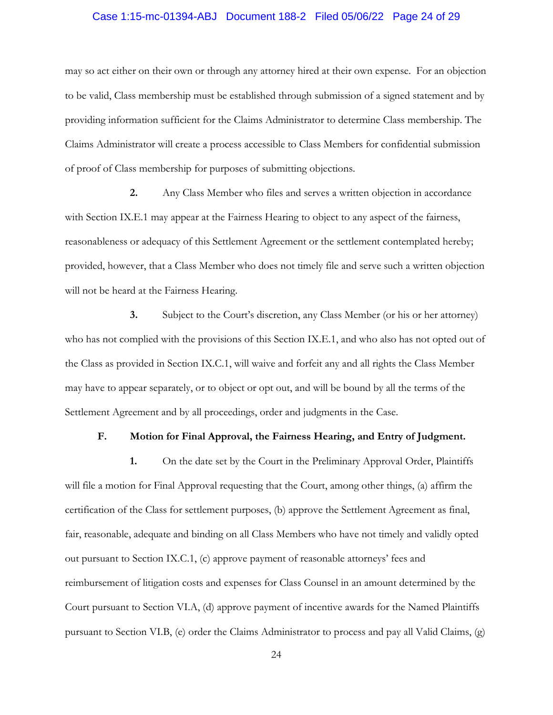## Case 1:15-mc-01394-ABJ Document 188-2 Filed 05/06/22 Page 24 of 29

may so act either on their own or through any attorney hired at their own expense. For an objection to be valid, Class membership must be established through submission of a signed statement and by providing information sufficient for the Claims Administrator to determine Class membership. The Claims Administrator will create a process accessible to Class Members for confidential submission of proof of Class membership for purposes of submitting objections.

**2.** Any Class Member who files and serves a written objection in accordance with Section IX.E.1 may appear at the Fairness Hearing to object to any aspect of the fairness, reasonableness or adequacy of this Settlement Agreement or the settlement contemplated hereby; provided, however, that a Class Member who does not timely file and serve such a written objection will not be heard at the Fairness Hearing.

**3.** Subject to the Court's discretion, any Class Member (or his or her attorney) who has not complied with the provisions of this Section IX.E.1, and who also has not opted out of the Class as provided in Section IX.C.1, will waive and forfeit any and all rights the Class Member may have to appear separately, or to object or opt out, and will be bound by all the terms of the Settlement Agreement and by all proceedings, order and judgments in the Case.

# **F. Motion for Final Approval, the Fairness Hearing, and Entry of Judgment.**

**1.** On the date set by the Court in the Preliminary Approval Order, Plaintiffs will file a motion for Final Approval requesting that the Court, among other things, (a) affirm the certification of the Class for settlement purposes, (b) approve the Settlement Agreement as final, fair, reasonable, adequate and binding on all Class Members who have not timely and validly opted out pursuant to Section IX.C.1, (c) approve payment of reasonable attorneys' fees and reimbursement of litigation costs and expenses for Class Counsel in an amount determined by the Court pursuant to Section VI.A, (d) approve payment of incentive awards for the Named Plaintiffs pursuant to Section VI.B, (e) order the Claims Administrator to process and pay all Valid Claims, (g)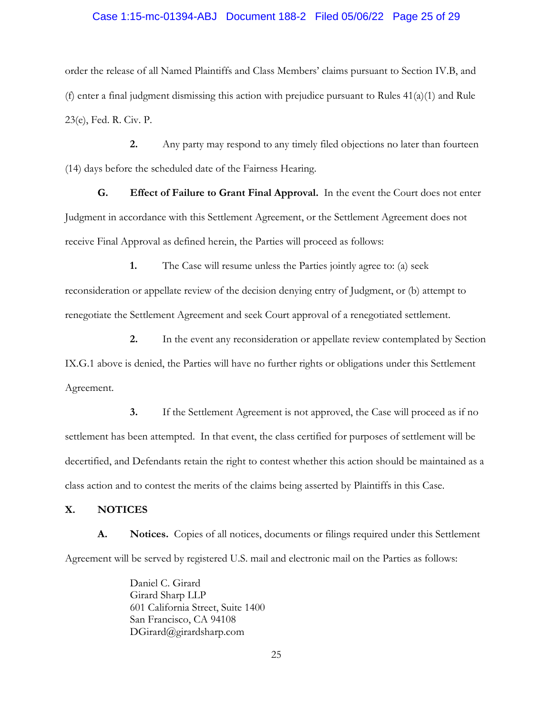#### Case 1:15-mc-01394-ABJ Document 188-2 Filed 05/06/22 Page 25 of 29

order the release of all Named Plaintiffs and Class Members' claims pursuant to Section IV.B, and (f) enter a final judgment dismissing this action with prejudice pursuant to Rules  $41(a)(1)$  and Rule 23(e), Fed. R. Civ. P.

**2.** Any party may respond to any timely filed objections no later than fourteen (14) days before the scheduled date of the Fairness Hearing.

**G. Effect of Failure to Grant Final Approval.** In the event the Court does not enter Judgment in accordance with this Settlement Agreement, or the Settlement Agreement does not receive Final Approval as defined herein, the Parties will proceed as follows:

**1.** The Case will resume unless the Parties jointly agree to: (a) seek reconsideration or appellate review of the decision denying entry of Judgment, or (b) attempt to renegotiate the Settlement Agreement and seek Court approval of a renegotiated settlement.

**2.** In the event any reconsideration or appellate review contemplated by Section IX.G.1 above is denied, the Parties will have no further rights or obligations under this Settlement Agreement.

**3.** If the Settlement Agreement is not approved, the Case will proceed as if no settlement has been attempted. In that event, the class certified for purposes of settlement will be decertified, and Defendants retain the right to contest whether this action should be maintained as a class action and to contest the merits of the claims being asserted by Plaintiffs in this Case.

## **X. NOTICES**

**A. Notices.** Copies of all notices, documents or filings required under this Settlement Agreement will be served by registered U.S. mail and electronic mail on the Parties as follows:

> Daniel C. Girard Girard Sharp LLP 601 California Street, Suite 1400 San Francisco, CA 94108 DGirard@girardsharp.com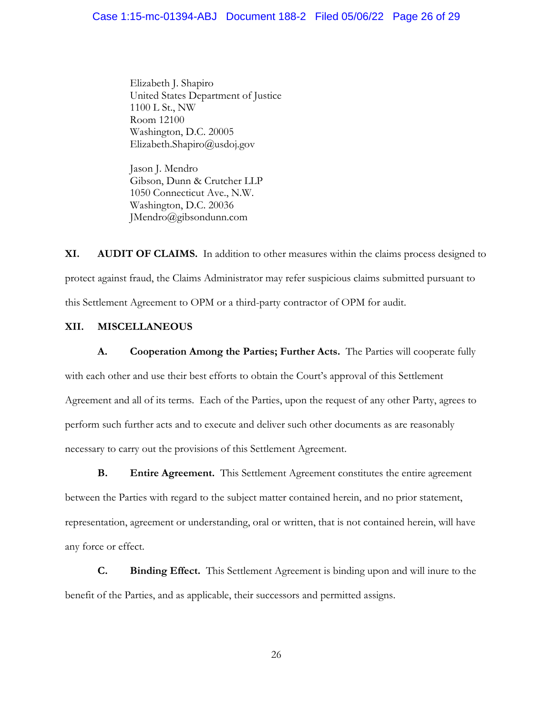Elizabeth J. Shapiro United States Department of Justice 1100 L St., NW Room 12100 Washington, D.C. 20005 Elizabeth.Shapiro@usdoj.gov

Jason J. Mendro Gibson, Dunn & Crutcher LLP 1050 Connecticut Ave., N.W. Washington, D.C. 20036 JMendro@gibsondunn.com

**XI. AUDIT OF CLAIMS.** In addition to other measures within the claims process designed to protect against fraud, the Claims Administrator may refer suspicious claims submitted pursuant to this Settlement Agreement to OPM or a third-party contractor of OPM for audit.

## **XII. MISCELLANEOUS**

**A. Cooperation Among the Parties; Further Acts.** The Parties will cooperate fully with each other and use their best efforts to obtain the Court's approval of this Settlement Agreement and all of its terms. Each of the Parties, upon the request of any other Party, agrees to perform such further acts and to execute and deliver such other documents as are reasonably necessary to carry out the provisions of this Settlement Agreement.

**B. Entire Agreement.** This Settlement Agreement constitutes the entire agreement between the Parties with regard to the subject matter contained herein, and no prior statement, representation, agreement or understanding, oral or written, that is not contained herein, will have any force or effect.

**C. Binding Effect.** This Settlement Agreement is binding upon and will inure to the benefit of the Parties, and as applicable, their successors and permitted assigns.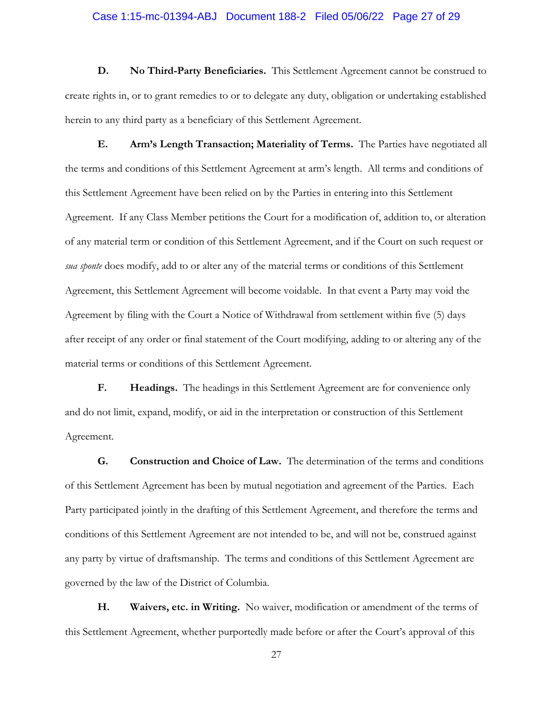## Case 1:15-mc-01394-ABJ Document 188-2 Filed 05/06/22 Page 27 of 29

**D. No Third-Party Beneficiaries.** This Settlement Agreement cannot be construed to create rights in, or to grant remedies to or to delegate any duty, obligation or undertaking established herein to any third party as a beneficiary of this Settlement Agreement.

**E. Arm's Length Transaction; Materiality of Terms.** The Parties have negotiated all the terms and conditions of this Settlement Agreement at arm's length. All terms and conditions of this Settlement Agreement have been relied on by the Parties in entering into this Settlement Agreement. If any Class Member petitions the Court for a modification of, addition to, or alteration of any material term or condition of this Settlement Agreement, and if the Court on such request or *sua sponte* does modify, add to or alter any of the material terms or conditions of this Settlement Agreement, this Settlement Agreement will become voidable. In that event a Party may void the Agreement by filing with the Court a Notice of Withdrawal from settlement within five (5) days after receipt of any order or final statement of the Court modifying, adding to or altering any of the material terms or conditions of this Settlement Agreement.

**F. Headings.** The headings in this Settlement Agreement are for convenience only and do not limit, expand, modify, or aid in the interpretation or construction of this Settlement Agreement.

**G. Construction and Choice of Law.** The determination of the terms and conditions of this Settlement Agreement has been by mutual negotiation and agreement of the Parties. Each Party participated jointly in the drafting of this Settlement Agreement, and therefore the terms and conditions of this Settlement Agreement are not intended to be, and will not be, construed against any party by virtue of draftsmanship. The terms and conditions of this Settlement Agreement are governed by the law of the District of Columbia.

**H. Waivers, etc. in Writing.** No waiver, modification or amendment of the terms of this Settlement Agreement, whether purportedly made before or after the Court's approval of this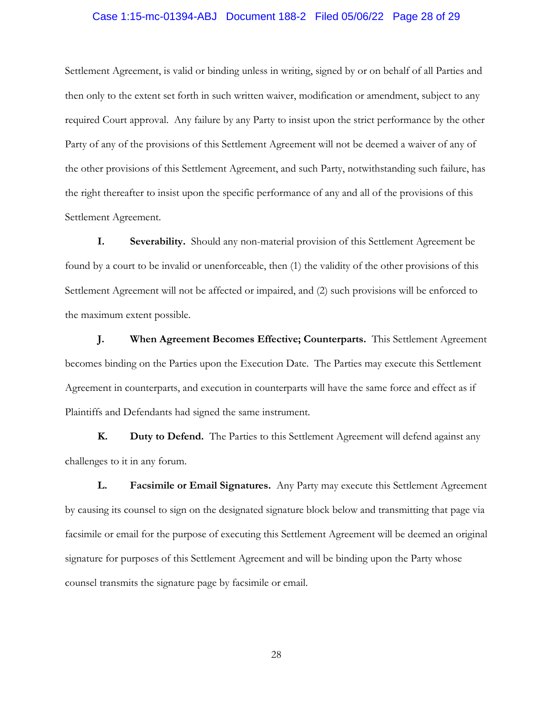## Case 1:15-mc-01394-ABJ Document 188-2 Filed 05/06/22 Page 28 of 29

Settlement Agreement, is valid or binding unless in writing, signed by or on behalf of all Parties and then only to the extent set forth in such written waiver, modification or amendment, subject to any required Court approval. Any failure by any Party to insist upon the strict performance by the other Party of any of the provisions of this Settlement Agreement will not be deemed a waiver of any of the other provisions of this Settlement Agreement, and such Party, notwithstanding such failure, has the right thereafter to insist upon the specific performance of any and all of the provisions of this Settlement Agreement.

**I. Severability.** Should any non-material provision of this Settlement Agreement be found by a court to be invalid or unenforceable, then (1) the validity of the other provisions of this Settlement Agreement will not be affected or impaired, and (2) such provisions will be enforced to the maximum extent possible.

**J. When Agreement Becomes Effective; Counterparts.** This Settlement Agreement becomes binding on the Parties upon the Execution Date. The Parties may execute this Settlement Agreement in counterparts, and execution in counterparts will have the same force and effect as if Plaintiffs and Defendants had signed the same instrument.

**K. Duty to Defend.** The Parties to this Settlement Agreement will defend against any challenges to it in any forum.

**L. Facsimile or Email Signatures.** Any Party may execute this Settlement Agreement by causing its counsel to sign on the designated signature block below and transmitting that page via facsimile or email for the purpose of executing this Settlement Agreement will be deemed an original signature for purposes of this Settlement Agreement and will be binding upon the Party whose counsel transmits the signature page by facsimile or email.